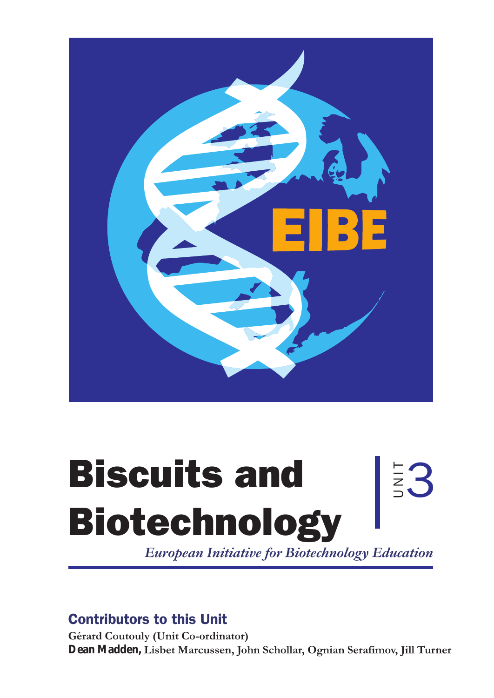

# Biscuits and Biotechnology

*European Initiative for Biotechnology Education*

E3

# Contributors to this Unit

**Gérard Coutouly (Unit Co-ordinator) Dean Madden, Lisbet Marcussen, John Schollar, Ognian Serafimov, Jill Turner**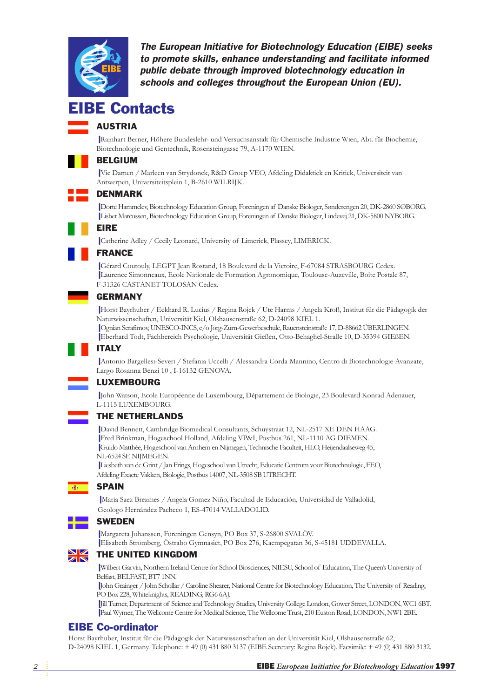

The European Initiative for Biotechnology Education (EIBE) seeks to promote skills, enhance understanding and facilitate informed public debate through improved biotechnology education in schools and colleges throughout the European Union (EU).

### **IBE Contacts**

### AUSTRIA

❙ Rainhart Berner, Höhere Bundeslehr- und Versuchsanstalt für Chemische Industrie Wien, Abt. für Biochemie, Biotechnologie und Gentechnik, Rosensteingasse 79, A-1170 WIEN.

### BELGIUM

❙ Vic Damen / Marleen van Strydonck, R&D Groep VEO, Afdeling Didaktiek en Kritiek, Universiteit van Antwerpen, Universiteitsplein 1, B-2610 WILRIJK.

### DENMARK

❙ Dorte Hammelev, Biotechnology Education Group, Foreningen af Danske Biologer, Sønderengen 20, DK-2860 SØBORG. ❙ Lisbet Marcussen, Biotechnology Education Group, Foreningen af Danske Biologer, Lindevej 21, DK-5800 NYBORG.

### EIRE

❙ Catherine Adley / Cecily Leonard, University of Limerick, Plassey, LIMERICK.

### FRANCE

❙ Gérard Coutouly, LEGPT Jean Rostand, 18 Boulevard de la Victoire, F-67084 STRASBOURG Cedex. ❙ Laurence Simonneaux, Ecole Nationale de Formation Agronomique, Toulouse-Auzeville, Boîte Postale 87, F-31326 CASTANET TOLOSAN Cedex.

### GERMANY

❙ Horst Bayrhuber / Eckhard R. Lucius / Regina Rojek / Ute Harms / Angela Kroß, Institut für die Pädagogik der Naturwissenschaften, Universität Kiel, Olshausenstraße 62, D-24098 KIEL 1.

❙ Ognian Serafimov, UNESCO-INCS, c/o Jörg-Zürn-Gewerbeschule, Rauensteinstraße 17, D-88662 ÜBERLINGEN. ❙ Eberhard Todt, Fachbereich Psychologie, Universität Gießen, Otto-Behaghel-Straße 10, D-35394 GIEßEN.

### ITALY

❙ Antonio Bargellesi-Severi / Stefania Uccelli / Alessandra Corda Mannino, Centro di Biotechnologie Avanzate, Largo Rosanna Benzi 10 , I-16132 GENOVA.

### LUXEMBOURG

❙ John Watson, Ecole Européenne de Luxembourg, Département de Biologie, 23 Boulevard Konrad Adenauer, L-1115 LUXEMBOURG.

### THE NETHERLANDS

❙ David Bennett, Cambridge Biomedical Consultants, Schuystraat 12, NL-2517 XE DEN HAAG. ❙ Fred Brinkman, Hogeschool Holland, Afdeling VP&I, Postbus 261, NL-1110 AG DIEMEN. ❙ Guido Matthée, Hogeschool van Arnhem en Nijmegen, Technische Faculteit, HLO, Heijendaalseweg 45, NL-6524 SE NIJMEGEN.

❙ Liesbeth van de Grint / Jan Frings, Hogeschool van Utrecht, Educatie Centrum voor Biotechnologie, FEO, Afdeling Exacte Vakken, Biologie, Postbus 14007, NL-3508 SB UTRECHT.

### SPAIN **B**

❙ Maria Saez Brezmes / Angela Gomez Niño, Facultad de Educación, Universidad de Valladolid, Geologo Hernández Pacheco 1, ES-47014 VALLADOLID.

### **SWEDEN**

❙ Margareta Johanssen, Föreningen Gensyn, PO Box 37, S-26800 SVALÖV. ❙ Elisabeth Strömberg, Östrabo Gymnasiet, PO Box 276, Kaempegatan 36, S-45181 UDDEVALLA.

### NZ THE UNITED KINGDOM ZÑ

❙ Wilbert Garvin, Northern Ireland Centre for School Biosciences, NIESU, School of Education, The Queen's University of Belfast, BELFAST, BT7 1NN.

❙ John Grainger / John Schollar / Caroline Shearer, National Centre for Biotechnology Education, The University of Reading, PO Box 228, Whiteknights, READING, RG6 6AJ.

❙ Jill Turner, Department of Science and Technology Studies, University College London, Gower Street, LONDON, WC1 6BT. ❙ Paul Wymer, The Wellcome Centre for Medical Science, The Wellcome Trust, 210 Euston Road, LONDON, NW1 2BE.

### EIBE Co-ordinator

Horst Bayrhuber, Institut für die Pädagogik der Naturwissenschaften an der Universität Kiel, Olshausenstraße 62, D-24098 KIEL 1, Germany. Telephone: + 49 (0) 431 880 3137 (EIBE Secretary: Regina Rojek). Facsimile: + 49 (0) 431 880 3132.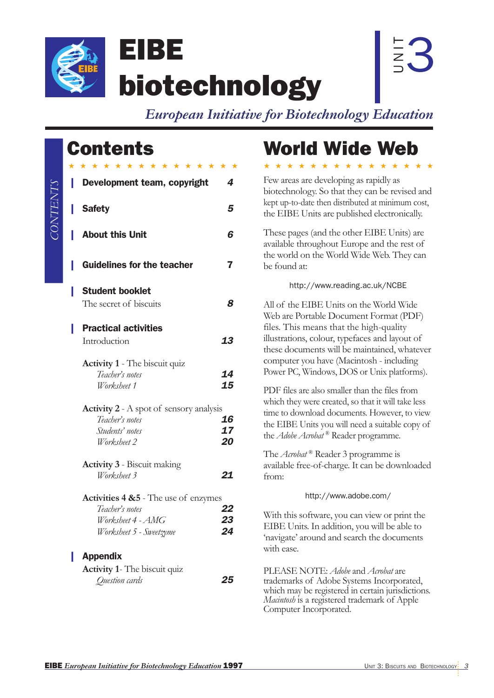

*CONTENTS*

CONTENTS

 $\overline{z}$ 3

biotechnology

*European Initiative for Biotechnology Education*

# **Contents**

EIBE

| $\star$ | * * * * * * * * * * * * * *                      |    |
|---------|--------------------------------------------------|----|
|         | Development team, copyright                      | 4  |
| п       | <b>Safety</b>                                    | 5  |
| н       | <b>About this Unit</b>                           | 6  |
| н       | <b>Guidelines for the teacher</b>                | 7  |
| н       | <b>Student booklet</b>                           |    |
|         | The secret of biscuits                           | 8  |
| н       | <b>Practical activities</b>                      |    |
|         | Introduction                                     | 13 |
|         | <b>Activity 1</b> - The biscuit quiz             |    |
|         | Teacher's notes                                  | 14 |
|         | Worksheet 1                                      | 15 |
|         | <b>Activity 2</b> - A spot of sensory analysis   |    |
|         | Teacher's notes                                  | 16 |
|         | Students' notes                                  | 17 |
|         | Worksheet 2                                      | 20 |
|         | <b>Activity 3</b> - Biscuit making               |    |
|         | Worksheet 3                                      | 21 |
|         | <b>Activities 4 &amp; 5</b> - The use of enzymes |    |
|         | Teacher's notes                                  | 22 |
|         | Worksheet 4 - AMG                                | 23 |
|         | Worksheet 5 - Sweetzyme                          | 24 |
|         | <b>Appendix</b>                                  |    |
|         | <b>Activity 1- The biscuit quiz</b>              |    |
|         | Question cards                                   | 25 |
|         |                                                  |    |

# World Wide Web

★★★★★★★★★★★★★★★

Few areas are developing as rapidly as biotechnology. So that they can be revised and kept up-to-date then distributed at minimum cost, the EIBE Units are published electronically. These pages (and the other EIBE Units) are available throughout Europe and the rest of the world on the World Wide Web. They can be found at: http://www.reading.ac.uk/NCBE All of the EIBE Units on the World Wide Web are Portable Document Format (PDF) files. This means that the high-quality illustrations, colour, typefaces and layout of these documents will be maintained, whatever computer you have (Macintosh - including Power PC, Windows, DOS or Unix platforms). PDF files are also smaller than the files from which they were created, so that it will take less time to download documents. However, to view the EIBE Units you will need a suitable copy of the *Adobe Acrobat* ® Reader programme. The *Acrobat* ® Reader 3 programme is available free-of-charge. It can be downloaded from: http://www.adobe.com/ With this software, you can view or print the EIBE Units. In addition, you will be able to 'navigate' around and search the documents with ease.

PLEASE NOTE: *Adobe* and *Acrobat* are trademarks of Adobe Systems Incorporated, which may be registered in certain jurisdictions. *Macintosh* is a registered trademark of Apple Computer Incorporated.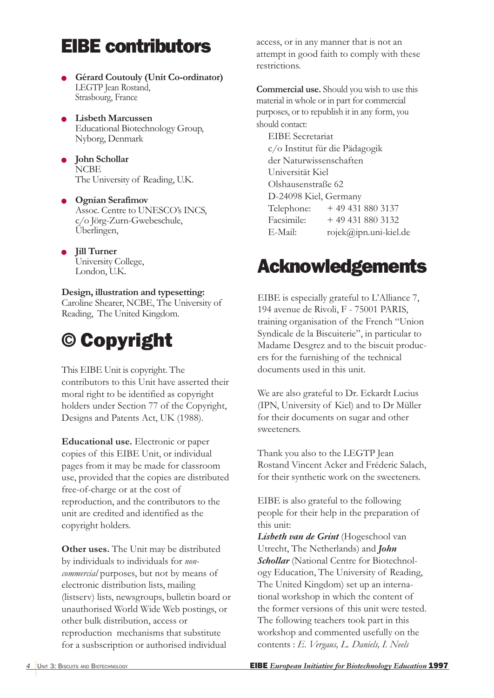# EIBE contributors

- **Gérard Coutouly (Unit Co-ordinator)** LEGTP Jean Rostand, Strasbourg, France
- **Lisbeth Marcussen** Educational Biotechnology Group, Nyborg, Denmark
- **John Schollar NCBE** The University of Reading, U.K.
- **Ognian Serafimov** Assoc. Centre to UNESCO's INCS, c/o Jörg-Zurn-Gwebeschule, Überlingen,
- **Jill Turner** University College, London, U.K.

**Design, illustration and typesetting:** Caroline Shearer, NCBE, The University of Reading, The United Kingdom.

# © Copyright

This EIBE Unit is copyright. The contributors to this Unit have asserted their moral right to be identified as copyright holders under Section 77 of the Copyright, Designs and Patents Act, UK (1988).

**Educational use.** Electronic or paper copies of this EIBE Unit, or individual pages from it may be made for classroom use, provided that the copies are distributed free-of-charge or at the cost of reproduction, and the contributors to the unit are credited and identified as the copyright holders.

**Other uses.** The Unit may be distributed by individuals to individuals for *noncommercial* purposes, but not by means of electronic distribution lists, mailing (listserv) lists, newsgroups, bulletin board or unauthorised World Wide Web postings, or other bulk distribution, access or reproduction mechanisms that substitute for a susbscription or authorised individual

access, or in any manner that is not an attempt in good faith to comply with these restrictions.

**Commercial use.** Should you wish to use this material in whole or in part for commercial purposes, or to republish it in any form, you should contact:

EIBE Secretariat c/o Institut für die Pädagogik der Naturwissenschaften Universität Kiel Olshausenstraße 62 D-24098 Kiel, Germany Telephone: + 49 431 880 3137 Facsimile: + 49 431 880 3132 E-Mail: rojek@ipn.uni-kiel.de

# Acknowledgements

EIBE is especially grateful to L'Alliance 7, 194 avenue de Rivoli, F - 75001 PARIS, training organisation of the French "Union Syndicale de la Biscuiterie", in particular to Madame Desgrez and to the biscuit producers for the furnishing of the technical documents used in this unit.

We are also grateful to Dr. Eckardt Lucius (IPN, University of Kiel) and to Dr Müller for their documents on sugar and other sweeteners.

Thank you also to the LEGTP Jean Rostand Vincent Acker and Fréderic Salach, for their synthetic work on the sweeteners.

EIBE is also grateful to the following people for their help in the preparation of this unit:

*Lisbeth van de Grint* (Hogeschool van Utrecht, The Netherlands) and *John Schollar* (National Centre for Biotechnology Education, The University of Reading, The United Kingdom) set up an international workshop in which the content of the former versions of this unit were tested. The following teachers took part in this workshop and commented usefully on the contents : *E. Vergaus, L. Daniels, I. Neels*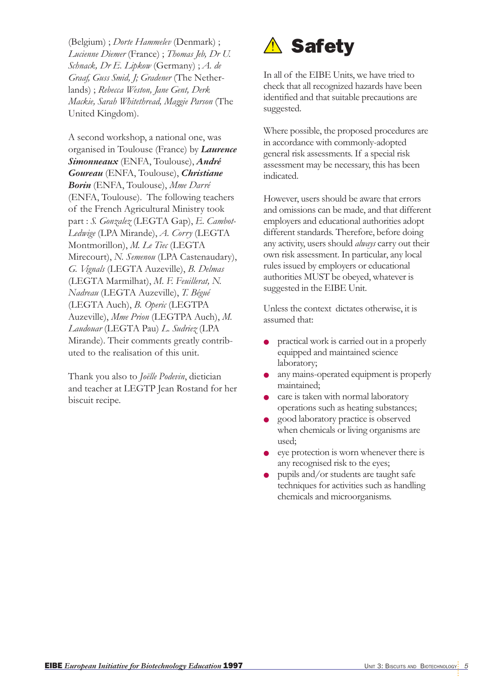(Belgium) ; *Dorte Hammelev* (Denmark) ; *Lucienne Diemer* (France) ; *Thomas Jeb, Dr U. Schnack, Dr E. Lipkow* (Germany) ; *A. de Graaf, Guss Smid, J; Gradener* (The Netherlands) ; *Rebecca Weston, Jane Gent, Derk Mackie, Sarah Whitethread, Maggie Parson* (The United Kingdom).

A second workshop, a national one, was organised in Toulouse (France) by *Laurence Simonneaux* (ENFA, Toulouse), *André Goureau* (ENFA, Toulouse), *Christiane Borin* (ENFA, Toulouse), *Mme Darré* (ENFA, Toulouse). The following teachers of the French Agricultural Ministry took part : *S. Gonzalez* (LEGTA Gap), *E. Cambot-Ledwige* (LPA Mirande), *A. Corry* (LEGTA Montmorillon), *M. Le Tiec* (LEGTA Mirecourt), *N. Semenou* (LPA Castenaudary), *G. Vignals* (LEGTA Auzeville), *B. Delmas* (LEGTA Marmilhat), *M. F. Feuillerat, N. Nadreau* (LEGTA Auzeville), *T. Bégué* (LEGTA Auch), *B. Operic* (LEGTPA Auzeville), *Mme Prion* (LEGTPA Auch), *M. Laudouar* (LEGTA Pau) *L. Sudriez* (LPA Mirande). Their comments greatly contributed to the realisation of this unit.

Thank you also to *Joëlle Podevin*, dietician and teacher at LEGTP Jean Rostand for her biscuit recipe.



In all of the EIBE Units, we have tried to check that all recognized hazards have been identified and that suitable precautions are suggested.

Where possible, the proposed procedures are in accordance with commonly-adopted general risk assessments. If a special risk assessment may be necessary, this has been indicated.

However, users should be aware that errors and omissions can be made, and that different employers and educational authorities adopt different standards. Therefore, before doing any activity, users should *always* carry out their own risk assessment. In particular, any local rules issued by employers or educational authorities MUST be obeyed, whatever is suggested in the EIBE Unit.

Unless the context dictates otherwise, it is assumed that:

- practical work is carried out in a properly equipped and maintained science laboratory;
- any mains-operated equipment is properly maintained;
- care is taken with normal laboratory operations such as heating substances;
- good laboratory practice is observed when chemicals or living organisms are used;
- eye protection is worn whenever there is any recognised risk to the eyes;
- pupils and/or students are taught safe techniques for activities such as handling chemicals and microorganisms.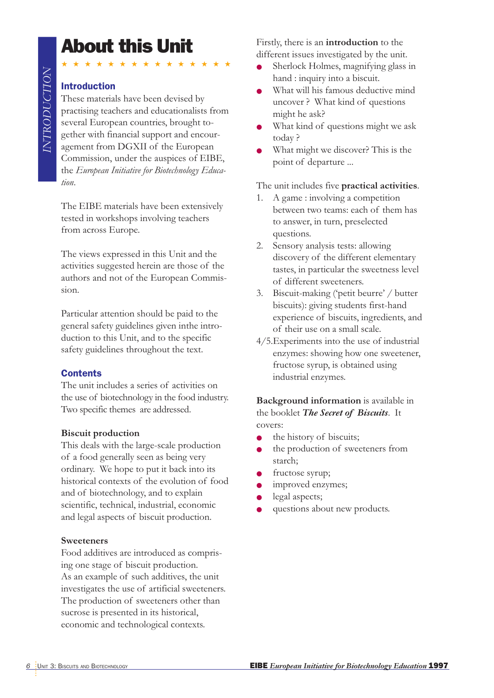# About this Unit

### Introduction

These materials have been devised by practising teachers and educationalists from several European countries, brought together with financial support and encouragement from DGXII of the European Commission, under the auspices of EIBE, the *European Initiative for Biotechnology Education*.

★★★★★★★★★★★★★★★

The EIBE materials have been extensively tested in workshops involving teachers from across Europe.

The views expressed in this Unit and the activities suggested herein are those of the authors and not of the European Commission.

Particular attention should be paid to the general safety guidelines given inthe introduction to this Unit, and to the specific safety guidelines throughout the text.

### **Contents**

The unit includes a series of activities on the use of biotechnology in the food industry. Two specific themes are addressed.

### **Biscuit production**

This deals with the large-scale production of a food generally seen as being very ordinary. We hope to put it back into its historical contexts of the evolution of food and of biotechnology, and to explain scientific, technical, industrial, economic and legal aspects of biscuit production.

### **Sweeteners**

Food additives are introduced as comprising one stage of biscuit production. As an example of such additives, the unit investigates the use of artificial sweeteners. The production of sweeteners other than sucrose is presented in its historical, economic and technological contexts.

Firstly, there is an **introduction** to the different issues investigated by the unit.

- Sherlock Holmes, magnifying glass in hand : inquiry into a biscuit.
- What will his famous deductive mind uncover ? What kind of questions might he ask?
- What kind of questions might we ask today ?
- What might we discover? This is the point of departure ...

The unit includes five **practical activities**.

- 1. A game : involving a competition between two teams: each of them has to answer, in turn, preselected questions.
- 2. Sensory analysis tests: allowing discovery of the different elementary tastes, in particular the sweetness level of different sweeteners.
- 3. Biscuit-making ('petit beurre' / butter biscuits): giving students first-hand experience of biscuits, ingredients, and of their use on a small scale.
- 4/5.Experiments into the use of industrial enzymes: showing how one sweetener, fructose syrup, is obtained using industrial enzymes.

**Background information** is available in the booklet *The Secret of Biscuits*. It covers:

- the history of biscuits;
- the production of sweeteners from starch;
- fructose syrup;
- improved enzymes;
- legal aspects;
- questions about new products.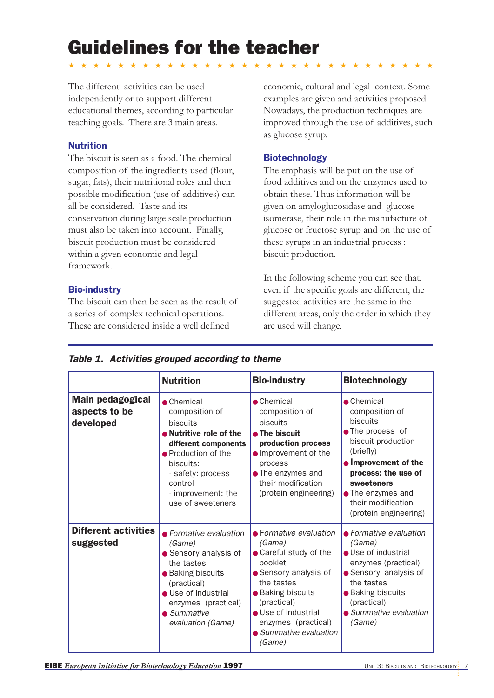# Guidelines for the teacher

★★★★★★★★★★★★★★★★★★★★★★★★★★★★★★

The different activities can be used independently or to support different educational themes, according to particular teaching goals. There are 3 main areas.

### Nutrition

The biscuit is seen as a food. The chemical composition of the ingredients used (flour, sugar, fats), their nutritional roles and their possible modification (use of additives) can all be considered. Taste and its conservation during large scale production must also be taken into account. Finally, biscuit production must be considered within a given economic and legal framework.

### Bio-industry

The biscuit can then be seen as the result of a series of complex technical operations. These are considered inside a well defined

economic, cultural and legal context. Some examples are given and activities proposed. Nowadays, the production techniques are improved through the use of additives, such as glucose syrup.

### Biotechnology

The emphasis will be put on the use of food additives and on the enzymes used to obtain these. Thus information will be given on amyloglucosidase and glucose isomerase, their role in the manufacture of glucose or fructose syrup and on the use of these syrups in an industrial process : biscuit production.

In the following scheme you can see that, even if the specific goals are different, the suggested activities are the same in the different areas, only the order in which they are used will change.

|                                                       | <b>Nutrition</b>                                                                                                                                                                                                          | <b>Bio-industry</b>                                                                                                                                                                                                                                | <b>Biotechnology</b>                                                                                                                                                                                                                            |
|-------------------------------------------------------|---------------------------------------------------------------------------------------------------------------------------------------------------------------------------------------------------------------------------|----------------------------------------------------------------------------------------------------------------------------------------------------------------------------------------------------------------------------------------------------|-------------------------------------------------------------------------------------------------------------------------------------------------------------------------------------------------------------------------------------------------|
| <b>Main pedagogical</b><br>aspects to be<br>developed | $\bullet$ Chemical<br>composition of<br><b>biscuits</b><br>• Nutritive role of the<br>different components<br>• Production of the<br>biscuits:<br>- safety: process<br>control<br>- improvement: the<br>use of sweeteners | $\bullet$ Chemical<br>composition of<br><b>biscuits</b><br>• The biscuit<br>production process<br>• Improvement of the<br>process<br>• The enzymes and<br>their modification<br>(protein engineering)                                              | $\bullet$ Chemical<br>composition of<br><b>biscuits</b><br>• The process of<br>biscuit production<br>(briefly)<br>• Improvement of the<br>process: the use of<br>sweeteners<br>• The enzymes and<br>their modification<br>(protein engineering) |
| <b>Different activities</b><br>suggested              | • Formative evaluation<br>(Game)<br>• Sensory analysis of<br>the tastes<br>· Baking biscuits<br>(practical)<br>• Use of industrial<br>enzymes (practical)<br>$\bullet$ Summative<br>evaluation (Game)                     | $\bullet$ Formative evaluation<br>(Game)<br>• Careful study of the<br>booklet<br>• Sensory analysis of<br>the tastes<br>• Baking biscuits<br>(practical)<br>• Use of industrial<br>enzymes (practical)<br>$\bullet$ Summative evaluation<br>(Game) | • Formative evaluation<br>(Game)<br>• Use of industrial<br>enzymes (practical)<br>• Sensoryl analysis of<br>the tastes<br>• Baking biscuits<br>(practical)<br>• Summative evaluation<br>(Game)                                                  |

| Table 1. Activities grouped according to theme |
|------------------------------------------------|
|------------------------------------------------|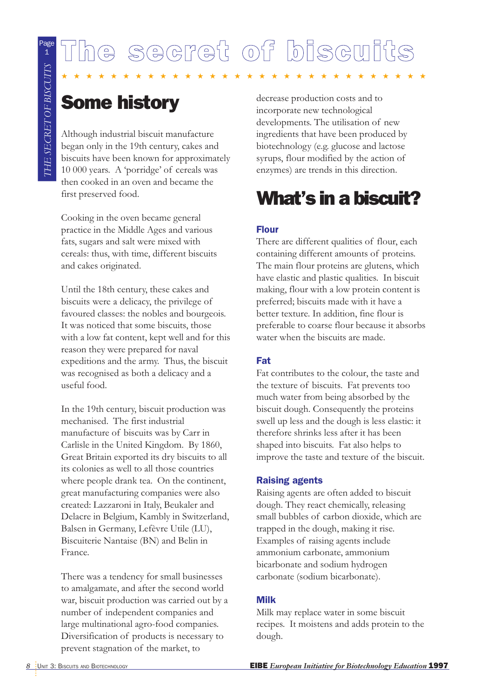# The secret of biscuits

★★★★★★★★★★★★★★★★★★★★★★★★★★★★★★

# Some history

Although industrial biscuit manufacture began only in the 19th century, cakes and biscuits have been known for approximately 10 000 years. A 'porridge' of cereals was then cooked in an oven and became the first preserved food.

Cooking in the oven became general practice in the Middle Ages and various fats, sugars and salt were mixed with cereals: thus, with time, different biscuits and cakes originated.

Until the 18th century, these cakes and biscuits were a delicacy, the privilege of favoured classes: the nobles and bourgeois. It was noticed that some biscuits, those with a low fat content, kept well and for this reason they were prepared for naval expeditions and the army. Thus, the biscuit was recognised as both a delicacy and a useful food.

In the 19th century, biscuit production was mechanised. The first industrial manufacture of biscuits was by Carr in Carlisle in the United Kingdom. By 1860, Great Britain exported its dry biscuits to all its colonies as well to all those countries where people drank tea. On the continent, great manufacturing companies were also created: Lazzaroni in Italy, Beukaler and Delacre in Belgium, Kambly in Switzerland, Balsen in Germany, Lefèvre Utile (LU), Biscuiterie Nantaise (BN) and Belin in France.

There was a tendency for small businesses to amalgamate, and after the second world war, biscuit production was carried out by a number of independent companies and large multinational agro-food companies. Diversification of products is necessary to prevent stagnation of the market, to

decrease production costs and to incorporate new technological developments. The utilisation of new ingredients that have been produced by biotechnology (e.g. glucose and lactose syrups, flour modified by the action of enzymes) are trends in this direction.

# What's in a biscuit?

### Flour

There are different qualities of flour, each containing different amounts of proteins. The main flour proteins are glutens, which have elastic and plastic qualities. In biscuit making, flour with a low protein content is preferred; biscuits made with it have a better texture. In addition, fine flour is preferable to coarse flour because it absorbs water when the biscuits are made.

### Fat

Fat contributes to the colour, the taste and the texture of biscuits. Fat prevents too much water from being absorbed by the biscuit dough. Consequently the proteins swell up less and the dough is less elastic: it therefore shrinks less after it has been shaped into biscuits. Fat also helps to improve the taste and texture of the biscuit.

### Raising agents

Raising agents are often added to biscuit dough. They react chemically, releasing small bubbles of carbon dioxide, which are trapped in the dough, making it rise. Examples of raising agents include ammonium carbonate, ammonium bicarbonate and sodium hydrogen carbonate (sodium bicarbonate).

### Milk

Milk may replace water in some biscuit recipes. It moistens and adds protein to the dough.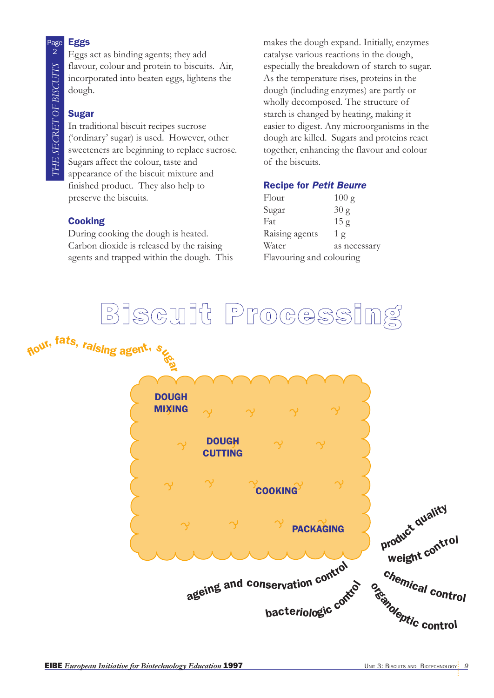### Eggs

Eggs act as binding agents; they add flavour, colour and protein to biscuits. Air, incorporated into beaten eggs, lightens the dough.

### Sugar

In traditional biscuit recipes sucrose ('ordinary' sugar) is used. However, other sweeteners are beginning to replace sucrose. Sugars affect the colour, taste and appearance of the biscuit mixture and finished product. They also help to preserve the biscuits.

### **Cooking**

During cooking the dough is heated. Carbon dioxide is released by the raising agents and trapped within the dough. This makes the dough expand. Initially, enzymes catalyse various reactions in the dough, especially the breakdown of starch to sugar. As the temperature rises, proteins in the dough (including enzymes) are partly or wholly decomposed. The structure of starch is changed by heating, making it easier to digest. Any microorganisms in the dough are killed. Sugars and proteins react together, enhancing the flavour and colour of the biscuits.

### Recipe for Petit Beurre

| Flour                    | 100 g           |
|--------------------------|-----------------|
| Sugar                    | 30 g            |
| Fat                      | 15 <sub>g</sub> |
| Raising agents           | 1 <sub>g</sub>  |
| Water                    | as necessary    |
| Flavouring and colouring |                 |

# Biscuit Processing



Page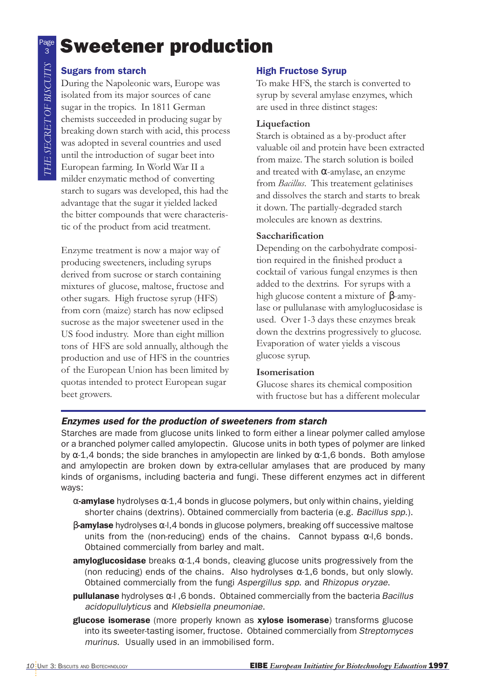# <sup>3</sup> Sweetener production

### Sugars from starch

During the Napoleonic wars, Europe was isolated from its major sources of cane sugar in the tropics. In 1811 German chemists succeeded in producing sugar by breaking down starch with acid, this process was adopted in several countries and used until the introduction of sugar beet into European farming. In World War II a milder enzymatic method of converting starch to sugars was developed, this had the advantage that the sugar it yielded lacked the bitter compounds that were characteristic of the product from acid treatment.

Enzyme treatment is now a major way of producing sweeteners, including syrups derived from sucrose or starch containing mixtures of glucose, maltose, fructose and other sugars. High fructose syrup (HFS) from corn (maize) starch has now eclipsed sucrose as the major sweetener used in the US food industry. More than eight million tons of HFS are sold annually, although the production and use of HFS in the countries of the European Union has been limited by quotas intended to protect European sugar beet growers.

### High Fructose Syrup

To make HFS, the starch is converted to syrup by several amylase enzymes, which are used in three distinct stages:

### **Liquefaction**

Starch is obtained as a by-product after valuable oil and protein have been extracted from maize. The starch solution is boiled and treated with α-amylase, an enzyme from *Bacillus*. This treatement gelatinises and dissolves the starch and starts to break it down. The partially-degraded starch molecules are known as dextrins.

### **Saccharification**

Depending on the carbohydrate composition required in the finished product a cocktail of various fungal enzymes is then added to the dextrins. For syrups with a high glucose content a mixture of  $β$ -amylase or pullulanase with amyloglucosidase is used. Over 1-3 days these enzymes break down the dextrins progressively to glucose. Evaporation of water yields a viscous glucose syrup.

### **Isomerisation**

Glucose shares its chemical composition with fructose but has a different molecular

### Enzymes used for the production of sweeteners from starch

Starches are made from glucose units linked to form either a linear polymer called amylose or a branched polymer called amylopectin. Glucose units in both types of polymer are linked by  $\alpha$ -1,4 bonds; the side branches in amylopectin are linked by  $\alpha$ -1,6 bonds. Both amylose and amylopectin are broken down by extra-cellular amylases that are produced by many kinds of organisms, including bacteria and fungi. These different enzymes act in different ways:

- $\alpha$ -amylase hydrolyses  $\alpha$ -1,4 bonds in glucose polymers, but only within chains, yielding shorter chains (dextrins). Obtained commercially from bacteria (e.g. Bacillus spp.).
- $\beta$ -amylase hydrolyses α-l,4 bonds in glucose polymers, breaking off successive maltose units from the (non-reducing) ends of the chains. Cannot bypass  $\alpha$ -I,6 bonds. Obtained commercially from barley and malt.
- **amyloglucosidase** breaks  $\alpha$ -1,4 bonds, cleaving glucose units progressively from the (non reducing) ends of the chains. Also hydrolyses  $\alpha$ -1,6 bonds, but only slowly. Obtained commercially from the fungi Aspergillus spp. and Rhizopus oryzae.
- **pullulanase** hydrolyses α-l, 6 bonds. Obtained commercially from the bacteria *Bacillus* acidopullulyticus and Klebsiella pneumoniae.
- glucose isomerase (more properly known as xylose isomerase) transforms glucose into its sweeter-tasting isomer, fructose. Obtained commercially from Streptomyces murinus. Usually used in an immobilised form.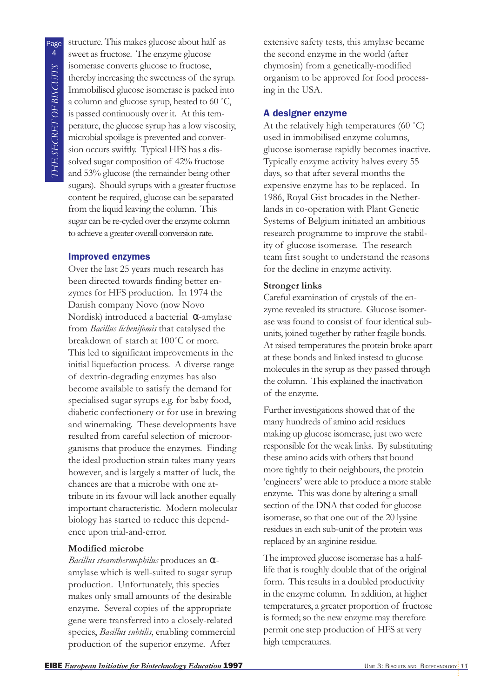structure. This makes glucose about half as sweet as fructose. The enzyme glucose isomerase converts glucose to fructose, thereby increasing the sweetness of the syrup. Immobilised glucose isomerase is packed into a column and glucose syrup, heated to 60 ˚C, is passed continuously over it. At this temperature, the glucose syrup has a low viscosity, microbial spoilage is prevented and conversion occurs swiftly. Typical HFS has a dissolved sugar composition of 42% fructose and 53% glucose (the remainder being other sugars). Should syrups with a greater fructose content be required, glucose can be separated from the liquid leaving the column. This sugar can be re-cycled over the enzyme column to achieve a greater overall conversion rate.

### Improved enzymes

Over the last 25 years much research has been directed towards finding better enzymes for HFS production. In 1974 the Danish company Novo (now Novo Nordisk) introduced a bacterial α-amylase from *Bacillus lichenifomis* that catalysed the breakdown of starch at 100˚C or more. This led to significant improvements in the initial liquefaction process. A diverse range of dextrin-degrading enzymes has also become available to satisfy the demand for specialised sugar syrups e.g. for baby food, diabetic confectionery or for use in brewing and winemaking. These developments have resulted from careful selection of microorganisms that produce the enzymes. Finding the ideal production strain takes many years however, and is largely a matter of luck, the chances are that a microbe with one attribute in its favour will lack another equally important characteristic. Modern molecular biology has started to reduce this dependence upon trial-and-error.

### **Modified microbe**

*Bacillus stearothermophilus* produces an αamylase which is well-suited to sugar syrup production. Unfortunately, this species makes only small amounts of the desirable enzyme. Several copies of the appropriate gene were transferred into a closely-related species, *Bacillus subtilis*, enabling commercial production of the superior enzyme. After

extensive safety tests, this amylase became the second enzyme in the world (after chymosin) from a genetically-modified organism to be approved for food processing in the USA.

### A designer enzyme

At the relatively high temperatures (60 ˚C) used in immobilised enzyme columns, glucose isomerase rapidly becomes inactive. Typically enzyme activity halves every 55 days, so that after several months the expensive enzyme has to be replaced. In 1986, Royal Gist brocades in the Netherlands in co-operation with Plant Genetic Systems of Belgium initiated an ambitious research programme to improve the stability of glucose isomerase. The research team first sought to understand the reasons for the decline in enzyme activity.

### **Stronger links**

Careful examination of crystals of the enzyme revealed its structure. Glucose isomerase was found to consist of four identical subunits, joined together by rather fragile bonds. At raised temperatures the protein broke apart at these bonds and linked instead to glucose molecules in the syrup as they passed through the column. This explained the inactivation of the enzyme.

Further investigations showed that of the many hundreds of amino acid residues making up glucose isomerase, just two were responsible for the weak links. By substituting these amino acids with others that bound more tightly to their neighbours, the protein 'engineers' were able to produce a more stable enzyme. This was done by altering a small section of the DNA that coded for glucose isomerase, so that one out of the 20 lysine residues in each sub-unit of the protein was replaced by an arginine residue.

The improved glucose isomerase has a halflife that is roughly double that of the original form. This results in a doubled productivity in the enzyme column. In addition, at higher temperatures, a greater proportion of fructose is formed; so the new enzyme may therefore permit one step production of HFS at very high temperatures.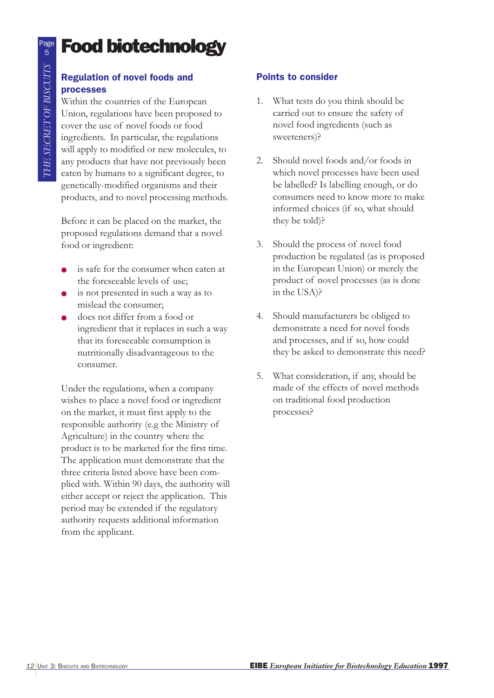# Food biotechnology

### Regulation of novel foods and processes

Within the countries of the European Union, regulations have been proposed to cover the use of novel foods or food ingredients. In particular, the regulations will apply to modified or new molecules, to any products that have not previously been eaten by humans to a significant degree, to genetically-modified organisms and their products, and to novel processing methods.

Before it can be placed on the market, the proposed regulations demand that a novel food or ingredient:

- is safe for the consumer when eaten at the foreseeable levels of use;
- is not presented in such a way as to mislead the consumer;
- does not differ from a food or ingredient that it replaces in such a way that its foreseeable consumption is nutritionally disadvantageous to the consumer.

Under the regulations, when a company wishes to place a novel food or ingredient on the market, it must first apply to the responsible authority (e.g the Ministry of Agriculture) in the country where the product is to be marketed for the first time. The application must demonstrate that the three criteria listed above have been complied with. Within 90 days, the authority will either accept or reject the application. This period may be extended if the regulatory authority requests additional information from the applicant.

### Points to consider

- 1. What tests do you think should be carried out to ensure the safety of novel food ingredients (such as sweeteners)?
- 2. Should novel foods and/or foods in which novel processes have been used be labelled? Is labelling enough, or do consumers need to know more to make informed choices (if so, what should they be told)?
- 3. Should the process of novel food production be regulated (as is proposed in the European Union) or merely the product of novel processes (as is done in the USA)?
- 4. Should manufacturers be obliged to demonstrate a need for novel foods and processes, and if so, how could they be asked to demonstrate this need?
- 5. What consideration, if any, should be made of the effects of novel methods on traditional food production processes?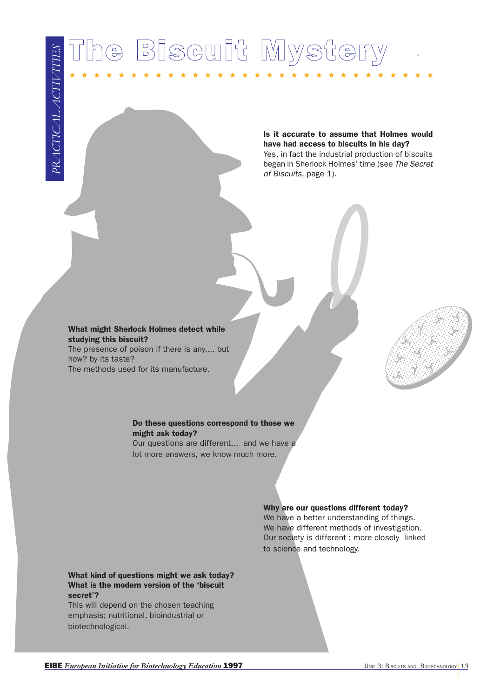# **EXAMPLE AND THE EUROPEAN INITIATIVE FOR AND BIOTECHNOLOGY ENERGY AND BIOTECHNOLOGY IN A SUBSERVIEW CONSULTABLE AND A SUBSERVIEW CONSULTABLE AND A SUBSERVIEW CONSULTABLE AND A SUBSERVIEW CONSULTABLE AND A SUBSERVIEW CONSUL**

★★★★★★★★★★★★★★★★★★★★★★★★★★★★★★

have had access to biscuits in his day? Yes, in fact the industrial production of biscuits began in Sherlock Holmes' time (see The Secret

of Biscuits, page 1).

Is it accurate to assume that Holmes would

### What might Sherlock Holmes detect while studying this biscuit?

The presence of poison if there is any.... but how? by its taste? The methods used for its manufacture.



### Do these questions correspond to those we might ask today?

Our questions are different... and we have a lot more answers, we know much more.

### Why are our questions different today?

We have a better understanding of things. We have different methods of investigation. Our society is different : more closely linked to science and technology.

### What kind of questions might we ask today? What is the modern version of the 'biscuit secret'?

This will depend on the chosen teaching emphasis; nutritional, bioindustrial or biotechnological.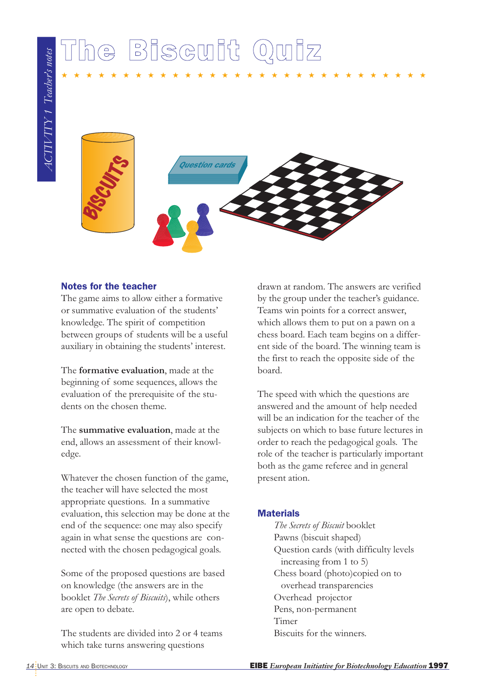# The Biscuit Quiz

 $AGIIVITY 1~~Teaches~notes$ *ACTIVITY 1 Teacher's notes*



★★★★★★★★★★★★★★★★★★★★★★★★★★★★★★

### Notes for the teacher

The game aims to allow either a formative or summative evaluation of the students' knowledge. The spirit of competition between groups of students will be a useful auxiliary in obtaining the students' interest.

The **formative evaluation**, made at the beginning of some sequences, allows the evaluation of the prerequisite of the students on the chosen theme.

The **summative evaluation**, made at the end, allows an assessment of their knowledge.

Whatever the chosen function of the game, the teacher will have selected the most appropriate questions. In a summative evaluation, this selection may be done at the end of the sequence: one may also specify again in what sense the questions are connected with the chosen pedagogical goals.

Some of the proposed questions are based on knowledge (the answers are in the booklet *The Secrets of Biscuits*), while others are open to debate.

The students are divided into 2 or 4 teams which take turns answering questions

drawn at random. The answers are verified by the group under the teacher's guidance. Teams win points for a correct answer, which allows them to put on a pawn on a chess board. Each team begins on a different side of the board. The winning team is the first to reach the opposite side of the board.

The speed with which the questions are answered and the amount of help needed will be an indication for the teacher of the subjects on which to base future lectures in order to reach the pedagogical goals. The role of the teacher is particularly important both as the game referee and in general present ation.

### **Materials**

*The Secrets of Biscuit* booklet Pawns (biscuit shaped) Question cards (with difficulty levels increasing from 1 to 5) Chess board (photo)copied on to overhead transparencies Overhead projector Pens, non-permanent Timer Biscuits for the winners.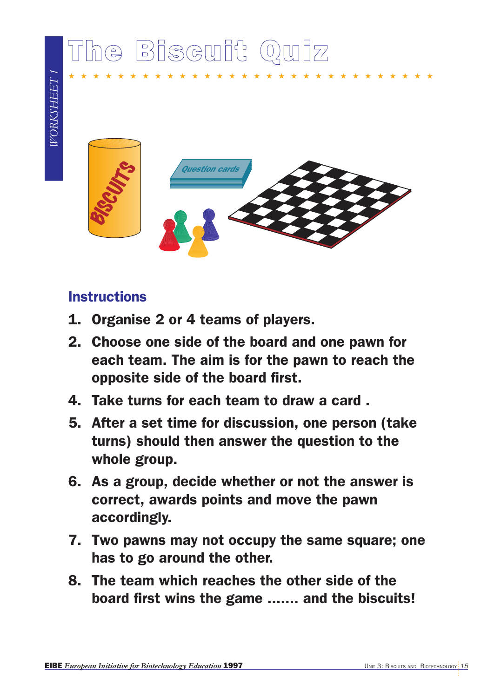# The Biscuit Quiz



★★★★★★★★★★★★★★★★★★★★★★★★★★★★★★

### **Instructions**

- 1. Organise 2 or 4 teams of players.
- 2. Choose one side of the board and one pawn for each team. The aim is for the pawn to reach the opposite side of the board first.
- 4. Take turns for each team to draw a card .
- 5. After a set time for discussion, one person (take turns) should then answer the question to the whole group.
- 6. As a group, decide whether or not the answer is correct, awards points and move the pawn accordingly.
- 7. Two pawns may not occupy the same square; one has to go around the other.
- 8. The team which reaches the other side of the board first wins the game ....... and the biscuits!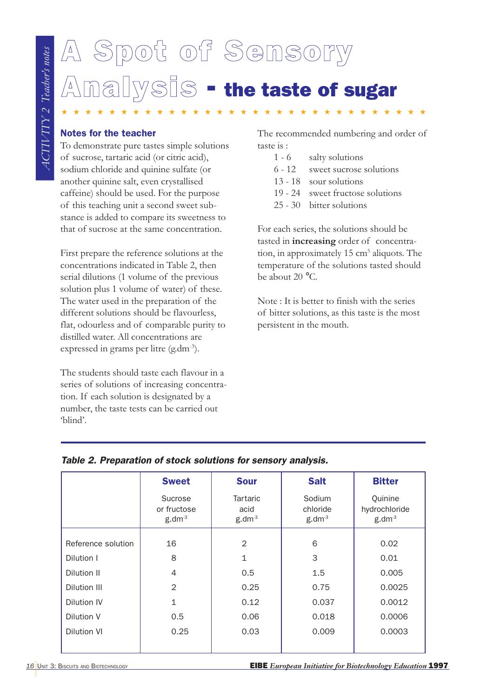# A Spot of Sensory **Analysis - the taste of sugar**

- 1 6 salty solutions
- 6 12 sweet sucrose solutions
- 13 18 sour solutions
- 19 24 sweet fructose solutions
- 25 30 bitter solutions

| <b>Notes for the teacher</b>                                                                                                                                                                                                                                                                                               |                                           |                   | The recommended numbering and order of                                               |                          |
|----------------------------------------------------------------------------------------------------------------------------------------------------------------------------------------------------------------------------------------------------------------------------------------------------------------------------|-------------------------------------------|-------------------|--------------------------------------------------------------------------------------|--------------------------|
| To demonstrate pure tastes simple solutions                                                                                                                                                                                                                                                                                |                                           | taste is :        |                                                                                      |                          |
| of sucrose, tartaric acid (or citric acid),<br>sodium chloride and quinine sulfate (or                                                                                                                                                                                                                                     |                                           |                   | $1 - 6$<br>salty solutions                                                           |                          |
| another quinine salt, even crystallised                                                                                                                                                                                                                                                                                    |                                           |                   | $6 - 12$<br>$13 - 18$<br>sour solutions                                              | sweet sucrose solutions  |
| caffeine) should be used. For the purpose                                                                                                                                                                                                                                                                                  |                                           |                   | $19 - 24$                                                                            | sweet fructose solutions |
| of this teaching unit a second sweet sub-                                                                                                                                                                                                                                                                                  |                                           |                   | bitter solutions<br>$25 - 30$                                                        |                          |
| stance is added to compare its sweetness to                                                                                                                                                                                                                                                                                |                                           |                   |                                                                                      |                          |
| that of sucrose at the same concentration.                                                                                                                                                                                                                                                                                 |                                           |                   | For each series, the solutions should be<br>tasted in increasing order of concentra- |                          |
| First prepare the reference solutions at the                                                                                                                                                                                                                                                                               |                                           |                   | tion, in approximately 15 cm <sup>3</sup> aliquots. The                              |                          |
|                                                                                                                                                                                                                                                                                                                            | concentrations indicated in Table 2, then |                   | temperature of the solutions tasted should                                           |                          |
| serial dilutions (1 volume of the previous                                                                                                                                                                                                                                                                                 |                                           |                   | be about 20 °C.                                                                      |                          |
| solution plus 1 volume of water) of these.                                                                                                                                                                                                                                                                                 |                                           |                   | Note: It is better to finish with the series                                         |                          |
| The water used in the preparation of the<br>different solutions should be flavourless,                                                                                                                                                                                                                                     |                                           |                   | of bitter solutions, as this taste is the most                                       |                          |
| flat, odourless and of comparable purity to                                                                                                                                                                                                                                                                                |                                           |                   | persistent in the mouth.                                                             |                          |
| distilled water. All concentrations are                                                                                                                                                                                                                                                                                    |                                           |                   |                                                                                      |                          |
|                                                                                                                                                                                                                                                                                                                            |                                           |                   |                                                                                      |                          |
|                                                                                                                                                                                                                                                                                                                            |                                           |                   |                                                                                      |                          |
| expressed in grams per litre (g.dm <sup>-3</sup> ).<br>The students should taste each flavour in a<br>series of solutions of increasing concentra-<br>tion. If each solution is designated by a<br>number, the taste tests can be carried out<br>'blind'.<br>Table 2. Preparation of stock solutions for sensory analysis. | <b>Sweet</b>                              | <b>Sour</b>       | <b>Salt</b>                                                                          | <b>Bitter</b>            |
|                                                                                                                                                                                                                                                                                                                            | Sucrose                                   | Tartaric          | Sodium                                                                               | Quinine                  |
|                                                                                                                                                                                                                                                                                                                            | or fructose                               | acid              | chloride                                                                             | hydrochloride            |
|                                                                                                                                                                                                                                                                                                                            | $g.dm-3$                                  | g.dm <sup>3</sup> | g.dm <sup>3</sup>                                                                    | g.dm <sup>3</sup>        |
| Reference solution                                                                                                                                                                                                                                                                                                         | 16                                        | $\overline{2}$    | 6                                                                                    | 0.02                     |
| Dilution I                                                                                                                                                                                                                                                                                                                 | 8                                         | 1                 | 3                                                                                    | 0.01                     |
| Dilution II                                                                                                                                                                                                                                                                                                                | 4                                         | 0.5               | 1.5                                                                                  | 0.005                    |
| Dilution III                                                                                                                                                                                                                                                                                                               | $\overline{2}$                            | 0.25              | 0.75                                                                                 | 0.0025                   |
|                                                                                                                                                                                                                                                                                                                            | 1                                         | 0.12              | 0.037                                                                                | 0.0012                   |
| Dilution IV<br>Dilution V                                                                                                                                                                                                                                                                                                  | 0.5                                       | 0.06              | 0.018                                                                                | 0.0006                   |

### Table 2. Preparation of stock solutions for sensory analysis.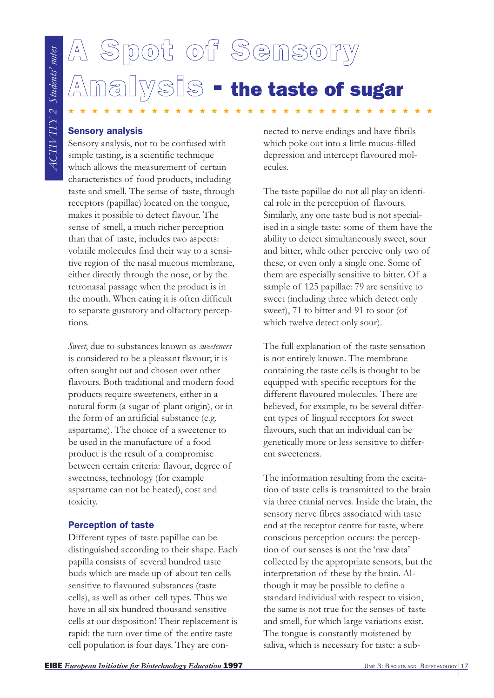# A Spot of Sensory **IVSIS** - the taste of sugar

★★★★★★★★★★★★★★★★★★★★★★★★★★★★★★★

### Sensory analysis

Sensory analysis, not to be confused with simple tasting, is a scientific technique which allows the measurement of certain characteristics of food products, including taste and smell. The sense of taste, through receptors (papillae) located on the tongue, makes it possible to detect flavour. The sense of smell, a much richer perception than that of taste, includes two aspects: volatile molecules find their way to a sensitive region of the nasal mucous membrane, either directly through the nose, or by the retronasal passage when the product is in the mouth. When eating it is often difficult to separate gustatory and olfactory perceptions.

*Sweet*, due to substances known as *sweeteners* is considered to be a pleasant flavour; it is often sought out and chosen over other flavours. Both traditional and modern food products require sweeteners, either in a natural form (a sugar of plant origin), or in the form of an artificial substance (e.g. aspartame). The choice of a sweetener to be used in the manufacture of a food product is the result of a compromise between certain criteria: flavour, degree of sweetness, technology (for example aspartame can not be heated), cost and toxicity.

### Perception of taste

Different types of taste papillae can be distinguished according to their shape. Each papilla consists of several hundred taste buds which are made up of about ten cells sensitive to flavoured substances (taste cells), as well as other cell types. Thus we have in all six hundred thousand sensitive cells at our disposition! Their replacement is rapid: the turn over time of the entire taste cell population is four days. They are connected to nerve endings and have fibrils which poke out into a little mucus-filled depression and intercept flavoured molecules.

The taste papillae do not all play an identical role in the perception of flavours. Similarly, any one taste bud is not specialised in a single taste: some of them have the ability to detect simultaneously sweet, sour and bitter, while other perceive only two of these, or even only a single one. Some of them are especially sensitive to bitter. Of a sample of 125 papillae: 79 are sensitive to sweet (including three which detect only sweet), 71 to bitter and 91 to sour (of which twelve detect only sour).

The full explanation of the taste sensation is not entirely known. The membrane containing the taste cells is thought to be equipped with specific receptors for the different flavoured molecules. There are believed, for example, to be several different types of lingual receptors for sweet flavours, such that an individual can be genetically more or less sensitive to different sweeteners.

The information resulting from the excitation of taste cells is transmitted to the brain via three cranial nerves. Inside the brain, the sensory nerve fibres associated with taste end at the receptor centre for taste, where conscious perception occurs: the perception of our senses is not the 'raw data' collected by the appropriate sensors, but the interpretation of these by the brain. Although it may be possible to define a standard individual with respect to vision, the same is not true for the senses of taste and smell, for which large variations exist. The tongue is constantly moistened by saliva, which is necessary for taste: a sub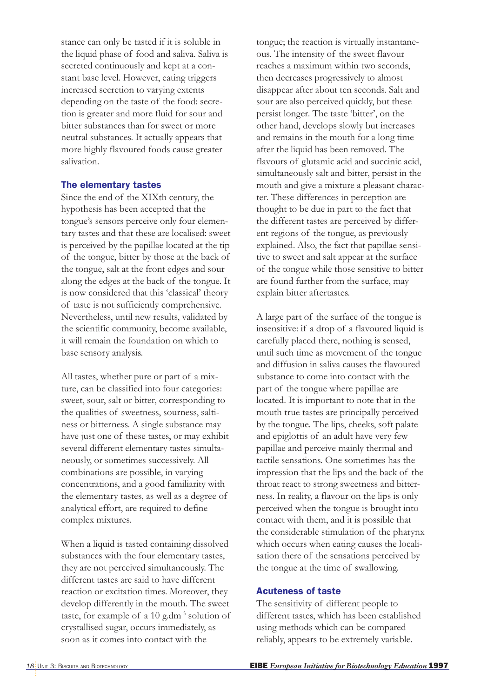stance can only be tasted if it is soluble in the liquid phase of food and saliva. Saliva is secreted continuously and kept at a constant base level. However, eating triggers increased secretion to varying extents depending on the taste of the food: secretion is greater and more fluid for sour and bitter substances than for sweet or more neutral substances. It actually appears that more highly flavoured foods cause greater salivation.

### The elementary tastes

Since the end of the XIXth century, the hypothesis has been accepted that the tongue's sensors perceive only four elementary tastes and that these are localised: sweet is perceived by the papillae located at the tip of the tongue, bitter by those at the back of the tongue, salt at the front edges and sour along the edges at the back of the tongue. It is now considered that this 'classical' theory of taste is not sufficiently comprehensive. Nevertheless, until new results, validated by the scientific community, become available, it will remain the foundation on which to base sensory analysis.

All tastes, whether pure or part of a mixture, can be classified into four categories: sweet, sour, salt or bitter, corresponding to the qualities of sweetness, sourness, saltiness or bitterness. A single substance may have just one of these tastes, or may exhibit several different elementary tastes simultaneously, or sometimes successively. All combinations are possible, in varying concentrations, and a good familiarity with the elementary tastes, as well as a degree of analytical effort, are required to define complex mixtures.

When a liquid is tasted containing dissolved substances with the four elementary tastes, they are not perceived simultaneously. The different tastes are said to have different reaction or excitation times. Moreover, they develop differently in the mouth. The sweet taste, for example of a 10 g.dm<sup>-3</sup> solution of crystallised sugar, occurs immediately, as soon as it comes into contact with the

tongue; the reaction is virtually instantaneous. The intensity of the sweet flavour reaches a maximum within two seconds, then decreases progressively to almost disappear after about ten seconds. Salt and sour are also perceived quickly, but these persist longer. The taste 'bitter', on the other hand, develops slowly but increases and remains in the mouth for a long time after the liquid has been removed. The flavours of glutamic acid and succinic acid, simultaneously salt and bitter, persist in the mouth and give a mixture a pleasant character. These differences in perception are thought to be due in part to the fact that the different tastes are perceived by different regions of the tongue, as previously explained. Also, the fact that papillae sensitive to sweet and salt appear at the surface of the tongue while those sensitive to bitter are found further from the surface, may explain bitter aftertastes.

A large part of the surface of the tongue is insensitive: if a drop of a flavoured liquid is carefully placed there, nothing is sensed, until such time as movement of the tongue and diffusion in saliva causes the flavoured substance to come into contact with the part of the tongue where papillae are located. It is important to note that in the mouth true tastes are principally perceived by the tongue. The lips, cheeks, soft palate and epiglottis of an adult have very few papillae and perceive mainly thermal and tactile sensations. One sometimes has the impression that the lips and the back of the throat react to strong sweetness and bitterness. In reality, a flavour on the lips is only perceived when the tongue is brought into contact with them, and it is possible that the considerable stimulation of the pharynx which occurs when eating causes the localisation there of the sensations perceived by the tongue at the time of swallowing.

### Acuteness of taste

The sensitivity of different people to different tastes, which has been established using methods which can be compared reliably, appears to be extremely variable.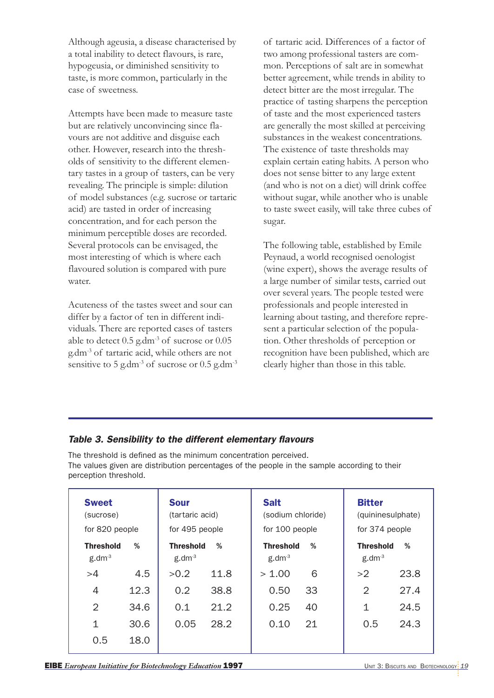Although ageusia, a disease characterised by a total inability to detect flavours, is rare, hypogeusia, or diminished sensitivity to taste, is more common, particularly in the case of sweetness.

Attempts have been made to measure taste but are relatively unconvincing since flavours are not additive and disguise each other. However, research into the thresholds of sensitivity to the different elementary tastes in a group of tasters, can be very revealing. The principle is simple: dilution of model substances (e.g. sucrose or tartaric acid) are tasted in order of increasing concentration, and for each person the minimum perceptible doses are recorded. Several protocols can be envisaged, the most interesting of which is where each flavoured solution is compared with pure water.

Acuteness of the tastes sweet and sour can differ by a factor of ten in different individuals. There are reported cases of tasters able to detect 0.5 g.dm-3 of sucrose or 0.05 g.dm-3 of tartaric acid, while others are not sensitive to 5 g.dm<sup>-3</sup> of sucrose or  $0.5$  g.dm<sup>-3</sup> of tartaric acid. Differences of a factor of two among professional tasters are common. Perceptions of salt are in somewhat better agreement, while trends in ability to detect bitter are the most irregular. The practice of tasting sharpens the perception of taste and the most experienced tasters are generally the most skilled at perceiving substances in the weakest concentrations. The existence of taste thresholds may explain certain eating habits. A person who does not sense bitter to any large extent (and who is not on a diet) will drink coffee without sugar, while another who is unable to taste sweet easily, will take three cubes of sugar.

The following table, established by Emile Peynaud, a world recognised oenologist (wine expert), shows the average results of a large number of similar tests, carried out over several years. The people tested were professionals and people interested in learning about tasting, and therefore represent a particular selection of the population. Other thresholds of perception or recognition have been published, which are clearly higher than those in this table.

### Table 3. Sensibility to the different elementary flavours

The threshold is defined as the minimum concentration perceived. The values given are distribution percentages of the people in the sample according to their perception threshold.

| <b>Sweet</b><br>(sucrose)<br>for 820 people |      | <b>Sour</b><br>(tartaric acid)<br>for 495 people |      | <b>Salt</b><br>(sodium chloride)<br>for 100 people |    | <b>Bitter</b><br>(quininesulphate)<br>for 374 people |      |
|---------------------------------------------|------|--------------------------------------------------|------|----------------------------------------------------|----|------------------------------------------------------|------|
| <b>Threshold</b><br>g.dm <sup>3</sup>       | %    | <b>Threshold</b><br>$g$ .dm $3$                  | %    | <b>Threshold</b><br>$g$ .dm $3$                    | %  | <b>Threshold</b><br>$g$ .dm <sup>-3</sup>            | %    |
| >4                                          | 4.5  | >0.2                                             | 11.8 | > 1.00                                             | 6  | >2                                                   | 23.8 |
| 4                                           | 12.3 | 0.2                                              | 38.8 | 0.50                                               | 33 | $\mathcal{D}$                                        | 27.4 |
| 2                                           | 34.6 | 0.1                                              | 21.2 | 0.25                                               | 40 | 1                                                    | 24.5 |
| 1                                           | 30.6 | 0.05                                             | 28.2 | 0.10                                               | 21 | 0.5                                                  | 24.3 |
| 0.5                                         | 18.0 |                                                  |      |                                                    |    |                                                      |      |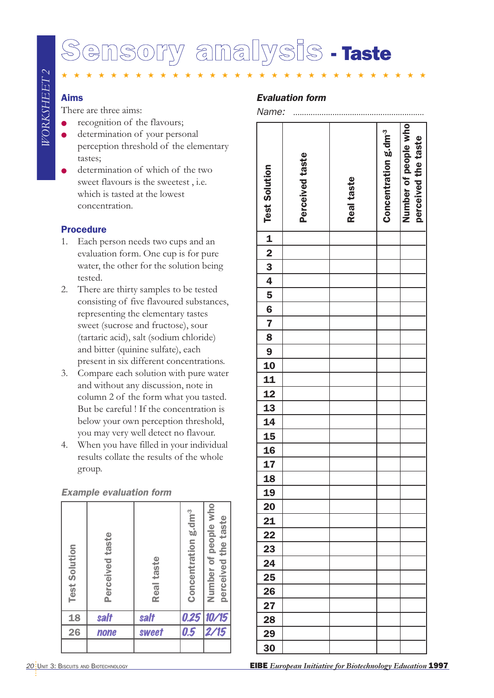# sory analysis - Taste

★★★★★★★★★★★★★★★★★★★★★★★★★★★★★★

### Aims

There are three aims:

- recognition of the flavours;
- **•** determination of your personal perception threshold of the elementary tastes;
- determination of which of the two sweet flavours is the sweetest , i.e. which is tasted at the lowest concentration.

### Procedure

- 1. Each person needs two cups and an evaluation form. One cup is for pure water, the other for the solution being tested.
- 2. There are thirty samples to be tested consisting of five flavoured substances, representing the elementary tastes sweet (sucrose and fructose), sour (tartaric acid), salt (sodium chloride) and bitter (quinine sulfate), each present in six different concentrations.
- 3. Compare each solution with pure water and without any discussion, note in column 2 of the form what you tasted. But be careful ! If the concentration is below your own perception threshold, you may very well detect no flavour.
- 4. When you have filled in your individual results collate the results of the whole group.

### Example evaluation form

| <b>Test Solution</b> | Perceived taste | Real taste | Concentration g.dm <sup>-3</sup> | Number of people who<br>perceived the taste |
|----------------------|-----------------|------------|----------------------------------|---------------------------------------------|
| 18                   | salt            | salt       | 0.25                             | 10/15                                       |
| 26                   | none            | sweet      | 0.5                              | 2/15                                        |
|                      |                 |            |                                  |                                             |

### Evaluation form

Name: *............................................................*

| <b>Test Solution</b>                                                                                   | Perceived taste | Real taste | Concentration g.dm <sup>3</sup> | Number of people who<br>perceived the taste |
|--------------------------------------------------------------------------------------------------------|-----------------|------------|---------------------------------|---------------------------------------------|
|                                                                                                        |                 |            |                                 |                                             |
|                                                                                                        |                 |            |                                 |                                             |
|                                                                                                        |                 |            |                                 |                                             |
|                                                                                                        |                 |            |                                 |                                             |
|                                                                                                        |                 |            |                                 |                                             |
|                                                                                                        |                 |            |                                 |                                             |
|                                                                                                        |                 |            |                                 |                                             |
|                                                                                                        |                 |            |                                 |                                             |
|                                                                                                        |                 |            |                                 |                                             |
|                                                                                                        |                 |            |                                 |                                             |
|                                                                                                        |                 |            |                                 |                                             |
|                                                                                                        |                 |            |                                 |                                             |
|                                                                                                        |                 |            |                                 |                                             |
|                                                                                                        |                 |            |                                 |                                             |
|                                                                                                        |                 |            |                                 |                                             |
|                                                                                                        |                 |            |                                 |                                             |
|                                                                                                        |                 |            |                                 |                                             |
| $\begin{array}{ c c c c c c }\hline 1&2&3&4&5&6&7&8&9&10&11&12&13&14&15&16&17&18 \\\hline \end{array}$ |                 |            |                                 |                                             |
|                                                                                                        |                 |            |                                 |                                             |
|                                                                                                        |                 |            |                                 |                                             |
| 19                                                                                                     |                 |            |                                 |                                             |
| 20                                                                                                     |                 |            |                                 |                                             |
| 21                                                                                                     |                 |            |                                 |                                             |
| 22                                                                                                     |                 |            |                                 |                                             |
| 23                                                                                                     |                 |            |                                 |                                             |
| 24                                                                                                     |                 |            |                                 |                                             |
| 25                                                                                                     |                 |            |                                 |                                             |
| 26                                                                                                     |                 |            |                                 |                                             |
| 27                                                                                                     |                 |            |                                 |                                             |
| 28                                                                                                     |                 |            |                                 |                                             |
| 29                                                                                                     |                 |            |                                 |                                             |
| 30                                                                                                     |                 |            |                                 |                                             |
|                                                                                                        |                 |            |                                 |                                             |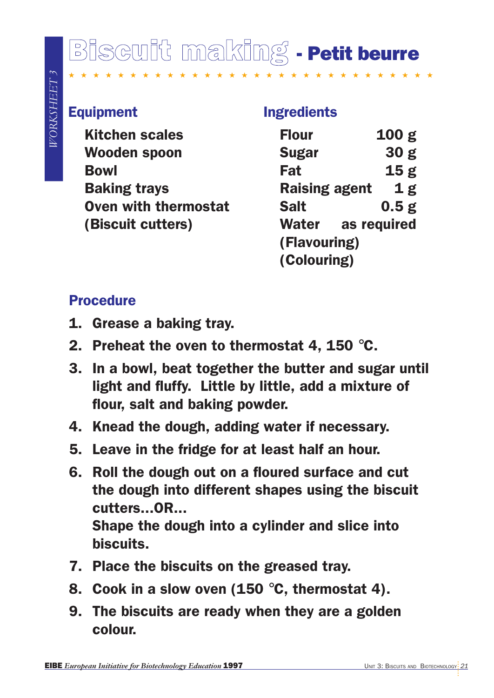# Biscuit making - Petit beurre

★ ★ ★ ★ ★

## Equipment

Kitchen scales Wooden spoon Bowl Baking trays Oven with thermostat (Biscuit cutters)

### Ingredients

| <b>Flour</b>             |  | 100 <sub>g</sub> |  |  |
|--------------------------|--|------------------|--|--|
| <b>Sugar</b>             |  | 30 <sub>g</sub>  |  |  |
| Fat                      |  | 15 <sub>g</sub>  |  |  |
| <b>Raising agent</b>     |  | 1g               |  |  |
| <b>Salt</b>              |  | 0.5g             |  |  |
| <b>Water</b> as required |  |                  |  |  |
| (Flavouring)             |  |                  |  |  |
| (Colouring)              |  |                  |  |  |

## **Procedure**

- 1. Grease a baking tray.
- 2. Preheat the oven to thermostat 4, 150 °C.
- 3. In a bowl, beat together the butter and sugar until light and fluffy. Little by little, add a mixture of flour, salt and baking powder.
- 4. Knead the dough, adding water if necessary.
- 5. Leave in the fridge for at least half an hour.
- Equipment<br>
Equipment<br>
Kitchen scales<br>
Kitchen scales<br>
Examples are also the scale of Biotechnology Erat<br>
Baking trays<br>
Baking trays<br>
Examples are a start at a sequence of (Biscult cutters)<br>
(Colouring)<br>
Procedure<br>
1. Greas 6. Roll the dough out on a floured surface and cut the dough into different shapes using the biscuit cutters...OR... Shape the dough into a cylinder and slice into biscuits.
	- 7. Place the biscuits on the greased tray.
	- 8. Cook in a slow oven (150 °C, thermostat 4).
	- 9. The biscuits are ready when they are a golden colour.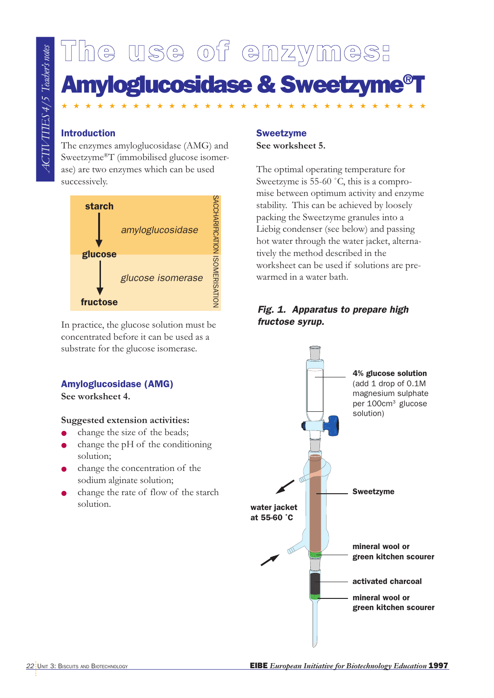# The use of enzymes: Amyloglucosidase & Sweetzyme®T

★★★★★★★★★★★★★★★★★★★★★★★★★★★★★★★

### Introduction

The enzymes amyloglucosidase (AMG) and Sweetzyme®T (immobilised glucose isomerase) are two enzymes which can be used successively.



In practice, the glucose solution must be concentrated before it can be used as a substrate for the glucose isomerase.

### Amyloglucosidase (AMG)

**See worksheet 4.**

### **Suggested extension activities:**

- change the size of the beads;
- change the  $pH$  of the conditioning solution;
- change the concentration of the sodium alginate solution;
- change the rate of flow of the starch solution.

### Sweetzyme **See worksheet 5.**

The optimal operating temperature for Sweetzyme is 55-60 ˚C, this is a compromise between optimum activity and enzyme stability. This can be achieved by loosely packing the Sweetzyme granules into a Liebig condenser (see below) and passing hot water through the water jacket, alternatively the method described in the worksheet can be used if solutions are prewarmed in a water bath.

### Fig. 1. Apparatus to prepare high fructose syrup.

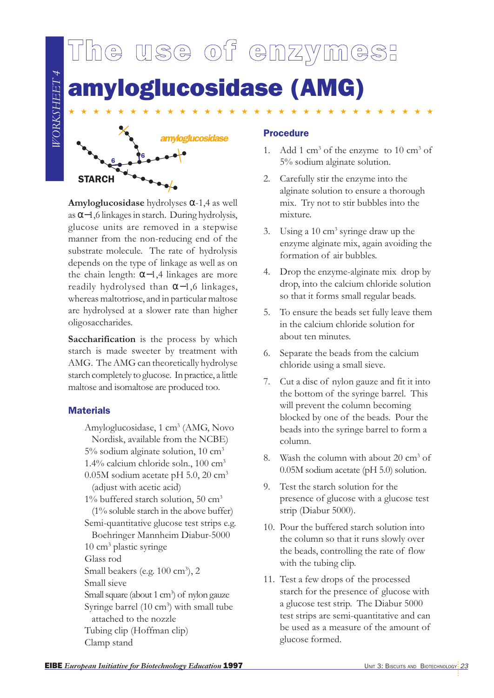

**Amyloglucosidase** hydrolyses α-1,4 as well as α−1,6 linkages in starch. During hydrolysis, glucose units are removed in a stepwise manner from the non-reducing end of the substrate molecule. The rate of hydrolysis depends on the type of linkage as well as on the chain length:  $\alpha$ -1,4 linkages are more readily hydrolysed than α−1,6 linkages, whereas maltotriose, and in particular maltose are hydrolysed at a slower rate than higher oligosaccharides.

6

STARCH

**Saccharification** is the process by which starch is made sweeter by treatment with AMG. The AMG can theoretically hydrolyse starch completely to glucose. In practice, a little maltose and isomaltose are produced too.

### **Materials**

Amyloglucosidase, 1 cm<sup>3</sup> (AMG, Novo Nordisk, available from the NCBE) 5% sodium alginate solution, 10 cm3 1.4% calcium chloride soln., 100 cm3  $0.05M$  sodium acetate pH 5.0, 20 cm<sup>3</sup> (adjust with acetic acid)  $1\%$  buffered starch solution, 50 cm<sup>3</sup> (1% soluble starch in the above buffer) Semi-quantitative glucose test strips e.g. Boehringer Mannheim Diabur-5000 10 cm3 plastic syringe Glass rod Small beakers (e.g. 100 cm<sup>3</sup>), 2 Small sieve Small square (about 1  $\rm cm^3)$  of  $\rm\,$ nylon $\rm\,gauze$ Syringe barrel (10 cm<sup>3</sup>) with small tube attached to the nozzle Tubing clip (Hoffman clip) Clamp stand

- 1. Add 1 cm<sup>3</sup> of the enzyme to 10 cm<sup>3</sup> of 5% sodium alginate solution.
- 2. Carefully stir the enzyme into the alginate solution to ensure a thorough mix. Try not to stir bubbles into the mixture.
- 3. Using a  $10 \text{ cm}^3$  syringe draw up the enzyme alginate mix, again avoiding the formation of air bubbles.
- 4. Drop the enzyme-alginate mix drop by drop, into the calcium chloride solution so that it forms small regular beads.
- 5. To ensure the beads set fully leave them in the calcium chloride solution for about ten minutes.
- 6. Separate the beads from the calcium chloride using a small sieve.
- 7. Cut a disc of nylon gauze and fit it into the bottom of the syringe barrel. This will prevent the column becoming blocked by one of the beads. Pour the beads into the syringe barrel to form a column.
- 8. Wash the column with about  $20 \text{ cm}^3$  of 0.05M sodium acetate (pH 5.0) solution.
- 9. Test the starch solution for the presence of glucose with a glucose test strip (Diabur 5000).
- 10. Pour the buffered starch solution into the column so that it runs slowly over the beads, controlling the rate of flow with the tubing clip.
- 11. Test a few drops of the processed starch for the presence of glucose with a glucose test strip. The Diabur 5000 test strips are semi-quantitative and can be used as a measure of the amount of glucose formed.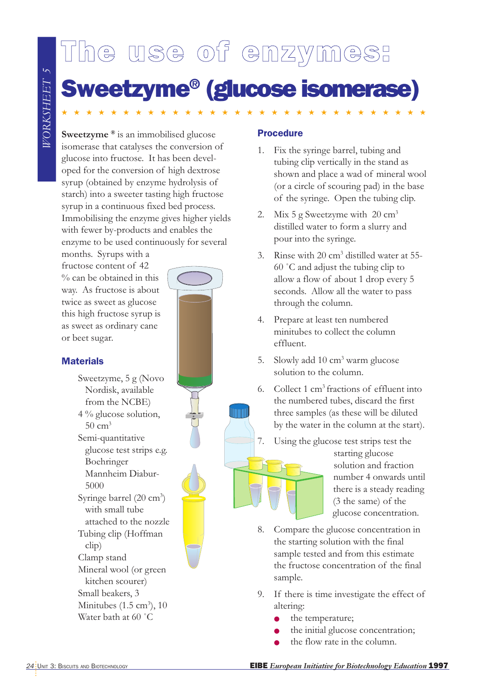# The use of enzymes: Sweetzyme® (glucose isomerase)

★★★★★★★★★★★★★★★★★★★★★★★★★★★★★★

**Sweetzyme ®** is an immobilised glucose isomerase that catalyses the conversion of glucose into fructose. It has been developed for the conversion of high dextrose syrup (obtained by enzyme hydrolysis of starch) into a sweeter tasting high fructose syrup in a continuous fixed bed process. Immobilising the enzyme gives higher yields with fewer by-products and enables the enzyme to be used continuously for several

months. Syrups with a fructose content of 42 % can be obtained in this way. As fructose is about twice as sweet as glucose this high fructose syrup is as sweet as ordinary cane or beet sugar.

### **Materials**

**EXAMPLE STATES AND SECURE CONSUMERATES AND SECURE CONSUMERATES AND SECURE CONSUMERATION CONSUMERATION CONSUMERATION CONSUMERATION CONSUMERATION CONSUMERATION CONSUMERATION CONSUMERATION CONSUMERATION CONSUMERATION CONSUME** Sweetzyme, 5 g (Novo Nordisk, available from the NCBE) 4 % glucose solution,  $50 \text{ cm}^3$ Semi-quantitative glucose test strips e.g. Boehringer Mannheim Diabur-5000 Syringe barrel (20 cm<sup>3</sup>) with small tube attached to the nozzle Tubing clip (Hoffman clip) Clamp stand Mineral wool (or green kitchen scourer) Small beakers, 3 Minitubes  $(1.5 \text{ cm}^3)$ , 10 Water bath at 60 ˚C



### Procedure

- 1. Fix the syringe barrel, tubing and tubing clip vertically in the stand as shown and place a wad of mineral wool (or a circle of scouring pad) in the base of the syringe. Open the tubing clip.
- 2. Mix 5 g Sweetzyme with  $20 \text{ cm}^3$ distilled water to form a slurry and pour into the syringe.
- 3. Rinse with  $20 \text{ cm}^3$  distilled water at 55-60 ˚C and adjust the tubing clip to allow a flow of about 1 drop every 5 seconds. Allow all the water to pass through the column.
- 4. Prepare at least ten numbered minitubes to collect the column effluent.
- 5. Slowly add  $10 \text{ cm}^3$  warm glucose solution to the column.
- 6. Collect 1 cm3 fractions of effluent into the numbered tubes, discard the first three samples (as these will be diluted by the water in the column at the start).
- 7. Using the glucose test strips test the

starting glucose solution and fraction number 4 onwards until there is a steady reading (3 the same) of the glucose concentration.

- 8. Compare the glucose concentration in the starting solution with the final sample tested and from this estimate the fructose concentration of the final sample.
- 9. If there is time investigate the effect of altering:
	- the temperature;
	- the initial glucose concentration;
	- the flow rate in the column.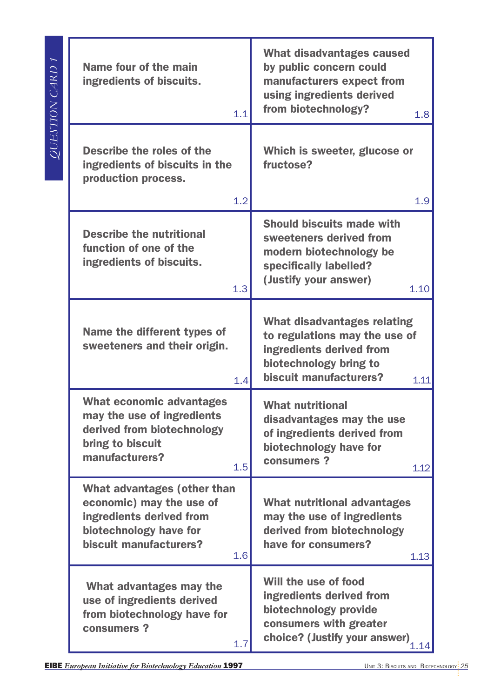| Name four of the main<br>ingredients of biscuits.<br>1.1                                                                                              | What disadvantages caused<br>by public concern could<br>manufacturers expect from<br>using ingredients derived<br>from biotechnology?<br>1.8         |
|-------------------------------------------------------------------------------------------------------------------------------------------------------|------------------------------------------------------------------------------------------------------------------------------------------------------|
| Describe the roles of the<br>ingredients of biscuits in the<br>production process.<br>1.2                                                             | Which is sweeter, glucose or<br>fructose?<br>1.9                                                                                                     |
| <b>Describe the nutritional</b><br>function of one of the<br>ingredients of biscuits.<br>1.3                                                          | <b>Should biscuits made with</b><br>sweeteners derived from<br>modern biotechnology be<br>specifically labelled?<br>(Justify your answer)<br>1.10    |
| Name the different types of<br>sweeteners and their origin.<br>1.4                                                                                    | What disadvantages relating<br>to regulations may the use of<br>ingredients derived from<br>biotechnology bring to<br>biscuit manufacturers?<br>1.11 |
| <b>What economic advantages</b><br>may the use of ingredients<br>derived from biotechnology<br>bring to biscuit<br>manufacturers?<br>1.5              | <b>What nutritional</b><br>disadvantages may the use<br>of ingredients derived from<br>biotechnology have for<br>consumers?<br>1.12                  |
| <b>What advantages (other than</b><br>economic) may the use of<br>ingredients derived from<br>biotechnology have for<br>biscuit manufacturers?<br>1.6 | <b>What nutritional advantages</b><br>may the use of ingredients<br>derived from biotechnology<br>have for consumers?<br>1.13                        |
| What advantages may the<br>use of ingredients derived<br>from biotechnology have for<br>consumers?<br>1.7                                             | Will the use of food<br>ingredients derived from<br>biotechnology provide<br>consumers with greater<br>choice? (Justify your answer)<br>1.14         |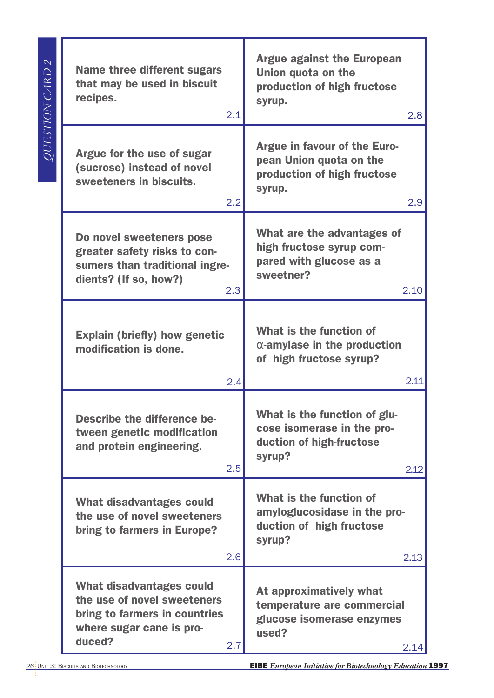| $\mathbb{N}$<br>QUESTION CARD | <b>Name three different sugars</b><br>that may be used in biscuit<br>recipes.<br>2.1                                                         | <b>Argue against the European</b><br>Union quota on the<br>production of high fructose<br>syrup.<br>2.8  |
|-------------------------------|----------------------------------------------------------------------------------------------------------------------------------------------|----------------------------------------------------------------------------------------------------------|
|                               | Argue for the use of sugar<br>(sucrose) instead of novel<br>sweeteners in biscuits.<br>2.2                                                   | Argue in favour of the Euro-<br>pean Union quota on the<br>production of high fructose<br>syrup.<br>2.9  |
|                               | Do novel sweeteners pose<br>greater safety risks to con-<br>sumers than traditional ingre-<br>dients? (If so, how?)<br>2.3                   | What are the advantages of<br>high fructose syrup com-<br>pared with glucose as a<br>sweetner?<br>2.10   |
|                               | <b>Explain (briefly) how genetic</b><br>modification is done.<br>2.4                                                                         | What is the function of<br>$\alpha$ -amylase in the production<br>of high fructose syrup?<br>2.11        |
|                               | <b>Describe the difference be-</b><br>tween genetic modification<br>and protein engineering.<br>2.5                                          | What is the function of glu-<br>cose isomerase in the pro-<br>duction of high-fructose<br>syrup?<br>2.12 |
|                               | <b>What disadvantages could</b><br>the use of novel sweeteners<br>bring to farmers in Europe?<br>2.6                                         | What is the function of<br>amyloglucosidase in the pro-<br>duction of high fructose<br>syrup?<br>2.13    |
|                               | <b>What disadvantages could</b><br>the use of novel sweeteners<br>bring to farmers in countries<br>where sugar cane is pro-<br>duced?<br>2.7 | At approximatively what<br>temperature are commercial<br>glucose isomerase enzymes<br>used?<br>2.14      |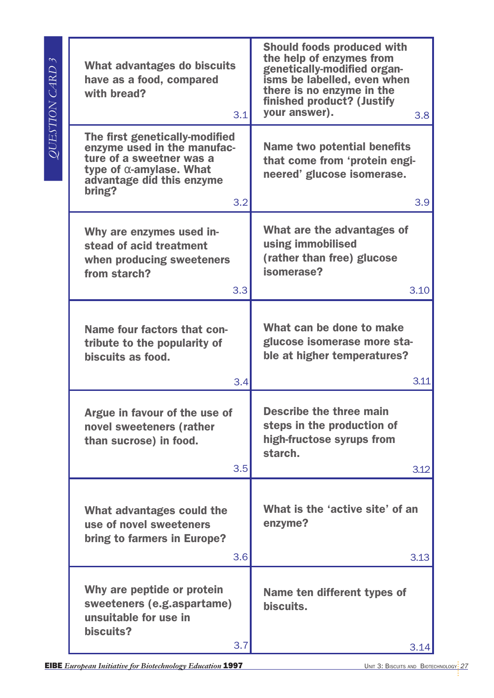| $\sim$<br><i>QUESTION CARD</i> | <b>What advantages do biscuits</b><br>have as a food, compared<br>with bread?<br>3.1                                                                                       | <b>Should foods produced with</b><br>the help of enzymes from<br>genetically-modified organ-<br>isms be labelled, even when<br>there is no enzyme in the<br>finished product? (Justify<br>your answer).<br>3.8 <sub>2</sub> |
|--------------------------------|----------------------------------------------------------------------------------------------------------------------------------------------------------------------------|-----------------------------------------------------------------------------------------------------------------------------------------------------------------------------------------------------------------------------|
|                                | The first genetically-modified<br>enzyme used in the manufac-<br>ture of a sweetner was a<br>type of $\alpha$ -amylase. What<br>advantage did this enzyme<br>bring?<br>3.2 | <b>Name two potential benefits</b><br>that come from 'protein engi-<br>neered' glucose isomerase.<br>3.9                                                                                                                    |
|                                | Why are enzymes used in-<br>stead of acid treatment<br>when producing sweeteners<br>from starch?<br>3.3                                                                    | What are the advantages of<br>using immobilised<br>(rather than free) glucose<br>isomerase?<br>3.10                                                                                                                         |
|                                | Name four factors that con-<br>tribute to the popularity of<br>biscuits as food.<br>3.4                                                                                    | What can be done to make<br>glucose isomerase more sta-<br>ble at higher temperatures?<br>3.11                                                                                                                              |
|                                | Argue in favour of the use of<br>novel sweeteners (rather<br>than sucrose) in food.<br>3.5                                                                                 | <b>Describe the three main</b><br>steps in the production of<br>high-fructose syrups from<br>starch.<br>3.12                                                                                                                |
|                                | What advantages could the<br>use of novel sweeteners<br>bring to farmers in Europe?<br>3.6                                                                                 | What is the 'active site' of an<br>enzyme?<br>3.13                                                                                                                                                                          |
|                                | Why are peptide or protein<br>sweeteners (e.g.aspartame)<br>unsuitable for use in<br>biscuits?<br>3.7                                                                      | Name ten different types of<br>biscuits.<br>3.14                                                                                                                                                                            |
|                                |                                                                                                                                                                            |                                                                                                                                                                                                                             |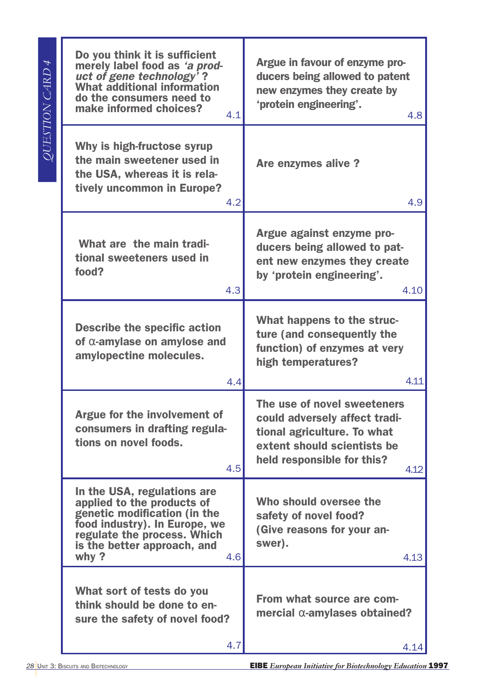| Do you think it is sufficient<br>merely label food as 'a prod-<br>uct of gene technology'?<br><b>What additional information</b><br>do the consumers need to<br>make informed choices?<br>4.1           | Argue in favour of enzyme pro-<br>ducers being allowed to patent<br>new enzymes they create by<br>'protein engineering'.<br>4.8                                  |
|---------------------------------------------------------------------------------------------------------------------------------------------------------------------------------------------------------|------------------------------------------------------------------------------------------------------------------------------------------------------------------|
| Why is high-fructose syrup<br>the main sweetener used in<br>the USA, whereas it is rela-<br>tively uncommon in Europe?<br>4.2                                                                           | Are enzymes alive?<br>4.9                                                                                                                                        |
| What are the main tradi-<br>tional sweeteners used in<br>food?<br>4.3                                                                                                                                   | Argue against enzyme pro-<br>ducers being allowed to pat-<br>ent new enzymes they create<br>by 'protein engineering'.<br>4.10                                    |
| <b>Describe the specific action</b><br>of $\alpha$ -amylase on amylose and<br>amylopectine molecules.<br>4.4                                                                                            | What happens to the struc-<br>ture (and consequently the<br>function) of enzymes at very<br>high temperatures?<br>4.11                                           |
| Argue for the involvement of<br>consumers in drafting regula-<br>tions on novel foods.<br>4.5                                                                                                           | The use of novel sweeteners<br>could adversely affect tradi-<br>tional agriculture. To what<br>extent should scientists be<br>held responsible for this?<br>4.12 |
| In the USA, regulations are<br>applied to the products of<br>genetic modification (in the<br>food industry). In Europe, we<br>regulate the process. Which<br>is the better approach, and<br>why?<br>4.6 | Who should oversee the<br>safety of novel food?<br>(Give reasons for your an-<br>swer).<br>4.13                                                                  |
| What sort of tests do you<br>think should be done to en-<br>sure the safety of novel food?<br>4.7                                                                                                       | From what source are com-<br>mercial $\alpha$ -amylases obtained?<br>4.14                                                                                        |
|                                                                                                                                                                                                         |                                                                                                                                                                  |